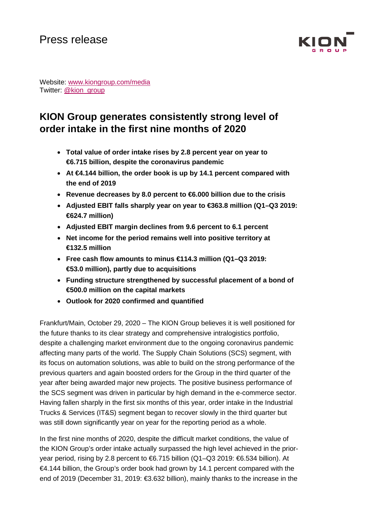

Website: [www.kiongroup.com/media](https://eur02.safelinks.protection.outlook.com/?url=http%3A%2F%2Fwww.kiongroup.com%2Fmedien&data=02%7C01%7CRene.Glock%40kiongroup.com%7C5e5bca3a3f334aa363bd08d6ef4156b0%7C13c728e0bb0c4cf78e105b327279d6d9%7C0%7C0%7C636959461240940155&sdata=E%2F7x0JVsCnlmN%2FwK6dD47zlcjp5ATtEt%2Bc3xaggKZaI%3D&reserved=0) Twitter: [@kion\\_group](https://twitter.com/kion_group)

# **KION Group generates consistently strong level of order intake in the first nine months of 2020**

- **Total value of order intake rises by 2.8 percent year on year to €6.715 billion, despite the coronavirus pandemic**
- **At €4.144 billion, the order book is up by 14.1 percent compared with the end of 2019**
- **Revenue decreases by 8.0 percent to €6.000 billion due to the crisis**
- **Adjusted EBIT falls sharply year on year to €363.8 million (Q1–Q3 2019: €624.7 million)**
- **Adjusted EBIT margin declines from 9.6 percent to 6.1 percent**
- **Net income for the period remains well into positive territory at €132.5 million**
- **Free cash flow amounts to minus €114.3 million (Q1–Q3 2019: €53.0 million), partly due to acquisitions**
- **Funding structure strengthened by successful placement of a bond of €500.0 million on the capital markets**
- **Outlook for 2020 confirmed and quantified**

Frankfurt/Main, October 29, 2020 – The KION Group believes it is well positioned for the future thanks to its clear strategy and comprehensive intralogistics portfolio, despite a challenging market environment due to the ongoing coronavirus pandemic affecting many parts of the world. The Supply Chain Solutions (SCS) segment, with its focus on automation solutions, was able to build on the strong performance of the previous quarters and again boosted orders for the Group in the third quarter of the year after being awarded major new projects. The positive business performance of the SCS segment was driven in particular by high demand in the e-commerce sector. Having fallen sharply in the first six months of this year, order intake in the Industrial Trucks & Services (IT&S) segment began to recover slowly in the third quarter but was still down significantly year on year for the reporting period as a whole.

In the first nine months of 2020, despite the difficult market conditions, the value of the KION Group's order intake actually surpassed the high level achieved in the prioryear period, rising by 2.8 percent to €6.715 billion (Q1–Q3 2019: €6.534 billion). At €4.144 billion, the Group's order book had grown by 14.1 percent compared with the end of 2019 (December 31, 2019: €3.632 billion), mainly thanks to the increase in the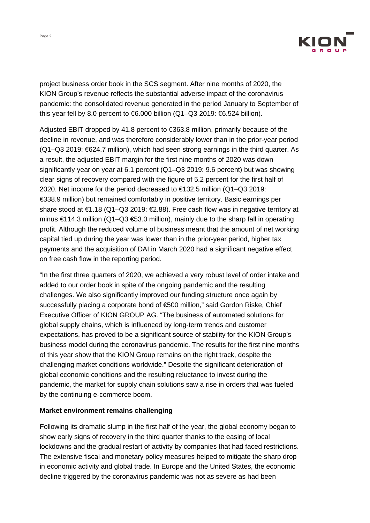

project business order book in the SCS segment. After nine months of 2020, the KION Group's revenue reflects the substantial adverse impact of the coronavirus pandemic: the consolidated revenue generated in the period January to September of this year fell by 8.0 percent to  $6.000$  billion (Q1–Q3 2019:  $6.524$  billion).

Adjusted EBIT dropped by 41.8 percent to €363.8 million, primarily because of the decline in revenue, and was therefore considerably lower than in the prior-year period (Q1–Q3 2019: €624.7 million), which had seen strong earnings in the third quarter. As a result, the adjusted EBIT margin for the first nine months of 2020 was down significantly year on year at 6.1 percent (Q1–Q3 2019: 9.6 percent) but was showing clear signs of recovery compared with the figure of 5.2 percent for the first half of 2020. Net income for the period decreased to €132.5 million (Q1–Q3 2019: €338.9 million) but remained comfortably in positive territory. Basic earnings per share stood at €1.18 (Q1–Q3 2019: €2.88). Free cash flow was in negative territory at minus €114.3 million (Q1–Q3  $€53.0$  million), mainly due to the sharp fall in operating profit. Although the reduced volume of business meant that the amount of net working capital tied up during the year was lower than in the prior-year period, higher tax payments and the acquisition of DAI in March 2020 had a significant negative effect on free cash flow in the reporting period.

"In the first three quarters of 2020, we achieved a very robust level of order intake and added to our order book in spite of the ongoing pandemic and the resulting challenges. We also significantly improved our funding structure once again by successfully placing a corporate bond of €500 million," said Gordon Riske, Chief Executive Officer of KION GROUP AG. "The business of automated solutions for global supply chains, which is influenced by long-term trends and customer expectations, has proved to be a significant source of stability for the KION Group's business model during the coronavirus pandemic. The results for the first nine months of this year show that the KION Group remains on the right track, despite the challenging market conditions worldwide." Despite the significant deterioration of global economic conditions and the resulting reluctance to invest during the pandemic, the market for supply chain solutions saw a rise in orders that was fueled by the continuing e-commerce boom.

#### **Market environment remains challenging**

Following its dramatic slump in the first half of the year, the global economy began to show early signs of recovery in the third quarter thanks to the easing of local lockdowns and the gradual restart of activity by companies that had faced restrictions. The extensive fiscal and monetary policy measures helped to mitigate the sharp drop in economic activity and global trade. In Europe and the United States, the economic decline triggered by the coronavirus pandemic was not as severe as had been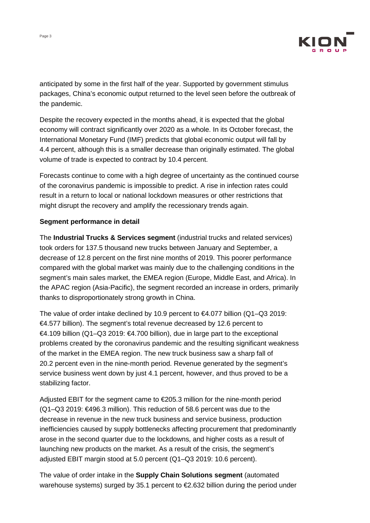

anticipated by some in the first half of the year. Supported by government stimulus packages, China's economic output returned to the level seen before the outbreak of the pandemic.

Despite the recovery expected in the months ahead, it is expected that the global economy will contract significantly over 2020 as a whole. In its October forecast, the International Monetary Fund (IMF) predicts that global economic output will fall by 4.4 percent, although this is a smaller decrease than originally estimated. The global volume of trade is expected to contract by 10.4 percent.

Forecasts continue to come with a high degree of uncertainty as the continued course of the coronavirus pandemic is impossible to predict. A rise in infection rates could result in a return to local or national lockdown measures or other restrictions that might disrupt the recovery and amplify the recessionary trends again.

#### **Segment performance in detail**

The **Industrial Trucks & Services segment** (industrial trucks and related services) took orders for 137.5 thousand new trucks between January and September, a decrease of 12.8 percent on the first nine months of 2019. This poorer performance compared with the global market was mainly due to the challenging conditions in the segment's main sales market, the EMEA region (Europe, Middle East, and Africa). In the APAC region (Asia-Pacific), the segment recorded an increase in orders, primarily thanks to disproportionately strong growth in China.

The value of order intake declined by 10.9 percent to €4.077 billion (Q1–Q3 2019: €4.577 billion). The segment's total revenue decreased by 12.6 percent to €4.109 billion (Q1–Q3 2019: €4.700 billion), due in large part to the exceptional problems created by the coronavirus pandemic and the resulting significant weakness of the market in the EMEA region. The new truck business saw a sharp fall of 20.2 percent even in the nine-month period. Revenue generated by the segment's service business went down by just 4.1 percent, however, and thus proved to be a stabilizing factor.

Adjusted EBIT for the segment came to €205.3 million for the nine-month period (Q1–Q3 2019: €496.3 million). This reduction of 58.6 percent was due to the decrease in revenue in the new truck business and service business, production inefficiencies caused by supply bottlenecks affecting procurement that predominantly arose in the second quarter due to the lockdowns, and higher costs as a result of launching new products on the market. As a result of the crisis, the segment's adjusted EBIT margin stood at 5.0 percent (Q1–Q3 2019: 10.6 percent).

The value of order intake in the **Supply Chain Solutions segment** (automated warehouse systems) surged by 35.1 percent to €2.632 billion during the period under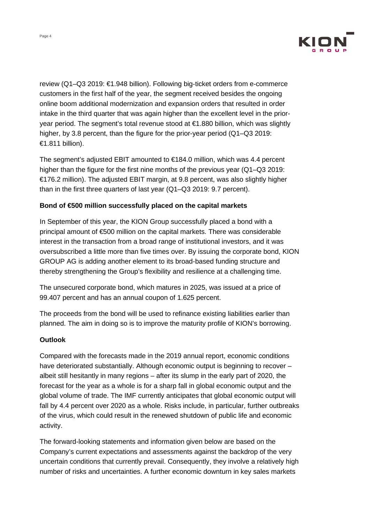

review (Q1–Q3 2019: €1.948 billion). Following big-ticket orders from e-commerce customers in the first half of the year, the segment received besides the ongoing online boom additional modernization and expansion orders that resulted in order intake in the third quarter that was again higher than the excellent level in the prioryear period. The segment's total revenue stood at €1.880 billion, which was slightly higher, by 3.8 percent, than the figure for the prior-year period (Q1–Q3 2019: €1.811 billion).

The segment's adjusted EBIT amounted to €184.0 million, which was 4.4 percent higher than the figure for the first nine months of the previous year (Q1–Q3 2019: €176.2 million). The adjusted EBIT margin, at 9.8 percent, was also slightly higher than in the first three quarters of last year (Q1–Q3 2019: 9.7 percent).

#### **Bond of €500 million successfully placed on the capital markets**

In September of this year, the KION Group successfully placed a bond with a principal amount of €500 million on the capital markets. There was considerable interest in the transaction from a broad range of institutional investors, and it was oversubscribed a little more than five times over. By issuing the corporate bond, KION GROUP AG is adding another element to its broad-based funding structure and thereby strengthening the Group's flexibility and resilience at a challenging time.

The unsecured corporate bond, which matures in 2025, was issued at a price of 99.407 percent and has an annual coupon of 1.625 percent.

The proceeds from the bond will be used to refinance existing liabilities earlier than planned. The aim in doing so is to improve the maturity profile of KION's borrowing.

#### **Outlook**

Compared with the forecasts made in the 2019 annual report, economic conditions have deteriorated substantially. Although economic output is beginning to recover – albeit still hesitantly in many regions – after its slump in the early part of 2020, the forecast for the year as a whole is for a sharp fall in global economic output and the global volume of trade. The IMF currently anticipates that global economic output will fall by 4.4 percent over 2020 as a whole. Risks include, in particular, further outbreaks of the virus, which could result in the renewed shutdown of public life and economic activity.

The forward-looking statements and information given below are based on the Company's current expectations and assessments against the backdrop of the very uncertain conditions that currently prevail. Consequently, they involve a relatively high number of risks and uncertainties. A further economic downturn in key sales markets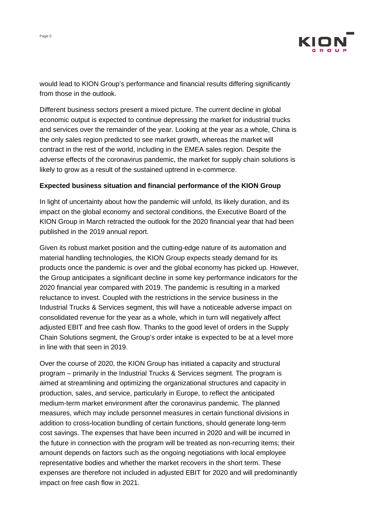

would lead to KION Group's performance and financial results differing significantly from those in the outlook.

Different business sectors present a mixed picture. The current decline in global economic output is expected to continue depressing the market for industrial trucks and services over the remainder of the year. Looking at the year as a whole, China is the only sales region predicted to see market growth, whereas the market will contract in the rest of the world, including in the EMEA sales region. Despite the adverse effects of the coronavirus pandemic, the market for supply chain solutions is likely to grow as a result of the sustained uptrend in e-commerce.

#### **Expected business situation and financial performance of the KION Group**

In light of uncertainty about how the pandemic will unfold, its likely duration, and its impact on the global economy and sectoral conditions, the Executive Board of the KION Group in March retracted the outlook for the 2020 financial year that had been published in the 2019 annual report.

Given its robust market position and the cutting-edge nature of its automation and material handling technologies, the KION Group expects steady demand for its products once the pandemic is over and the global economy has picked up. However, the Group anticipates a significant decline in some key performance indicators for the 2020 financial year compared with 2019. The pandemic is resulting in a marked reluctance to invest. Coupled with the restrictions in the service business in the Industrial Trucks & Services segment, this will have a noticeable adverse impact on consolidated revenue for the year as a whole, which in turn will negatively affect adjusted EBIT and free cash flow. Thanks to the good level of orders in the Supply Chain Solutions segment, the Group's order intake is expected to be at a level more in line with that seen in 2019.

Over the course of 2020, the KION Group has initiated a capacity and structural program – primarily in the Industrial Trucks & Services segment. The program is aimed at streamlining and optimizing the organizational structures and capacity in production, sales, and service, particularly in Europe, to reflect the anticipated medium-term market environment after the coronavirus pandemic. The planned measures, which may include personnel measures in certain functional divisions in addition to cross-location bundling of certain functions, should generate long-term cost savings. The expenses that have been incurred in 2020 and will be incurred in the future in connection with the program will be treated as non-recurring items; their amount depends on factors such as the ongoing negotiations with local employee representative bodies and whether the market recovers in the short term. These expenses are therefore not included in adjusted EBIT for 2020 and will predominantly impact on free cash flow in 2021.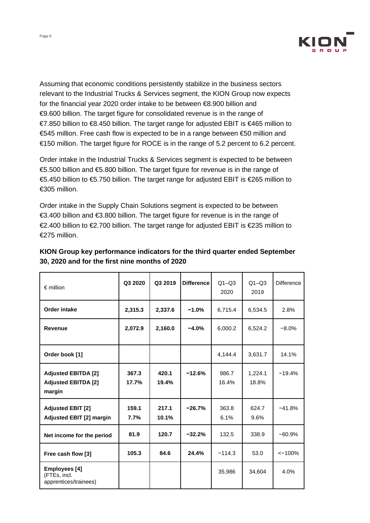

Assuming that economic conditions persistently stabilize in the business sectors relevant to the Industrial Trucks & Services segment, the KION Group now expects for the financial year 2020 order intake to be between €8.900 billion and €9.600 billion. The target figure for consolidated revenue is in the range of €7.850 billion to €8.450 billion. The target range for adjusted EBIT is €465 million to €545 million. Free cash flow is expected to be in a range between €50 million and €150 million. The target figure for ROCE is in the range of 5.2 percent to 6.2 percent.

Order intake in the Industrial Trucks & Services segment is expected to be between €5.500 billion and €5.800 billion. The target figure for revenue is in the range of €5.450 billion to €5.750 billion. The target range for adjusted EBIT is €265 million to €305 million.

Order intake in the Supply Chain Solutions segment is expected to be between €3.400 billion and €3.800 billion. The target figure for revenue is in the range of €2.400 billion to €2.700 billion. The target range for adjusted EBIT is €235 million to €275 million.

| $\epsilon$ million                                                 | Q3 2020        | Q3 2019        | <b>Difference</b> | $Q1 - Q3$<br>2020 | $Q1 - Q3$<br>2019 | <b>Difference</b> |
|--------------------------------------------------------------------|----------------|----------------|-------------------|-------------------|-------------------|-------------------|
| <b>Order intake</b>                                                | 2,315.3        | 2,337.6        | $-1.0%$           | 6,715.4           | 6,534.5           | 2.8%              |
| <b>Revenue</b>                                                     | 2,072.9        | 2,160.0        | $-4.0%$           | 6,000.2           | 6,524.2           | $-8.0\%$          |
| Order book [1]                                                     |                |                |                   | 4,144.4           | 3,631.7           | 14.1%             |
| <b>Adjusted EBITDA [2]</b><br><b>Adjusted EBITDA [2]</b><br>margin | 367.3<br>17.7% | 420.1<br>19.4% | $-12.6%$          | 986.7<br>16.4%    | 1,224.1<br>18.8%  | $-19.4%$          |
| <b>Adjusted EBIT [2]</b><br><b>Adjusted EBIT [2] margin</b>        | 159.1<br>7.7%  | 217.1<br>10.1% | $-26.7%$          | 363.8<br>6.1%     | 624.7<br>9.6%     | $-41.8%$          |
| Net income for the period                                          | 81.9           | 120.7          | $-32.2%$          | 132.5             | 338.9             | $-60.9%$          |
| Free cash flow [3]                                                 | 105.3          | 84.6           | 24.4%             | $-114.3$          | 53.0              | $< -100%$         |
| Employees [4]<br>(FTEs, incl.<br>apprentices/trainees)             |                |                |                   | 35,986            | 34,604            | 4.0%              |

## **KION Group key performance indicators for the third quarter ended September 30, 2020 and for the first nine months of 2020**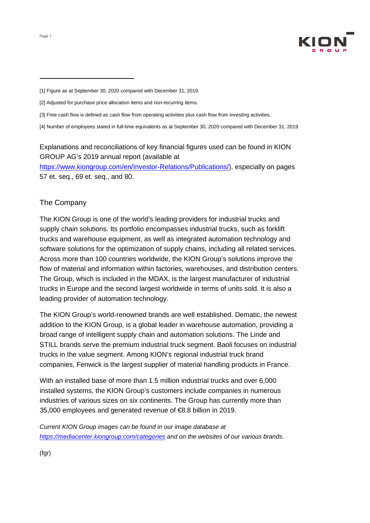

[3] Free cash flow is defined as cash flow from operating activities plus cash flow from investing activities.

[4] Number of employees stated in full-time equivalents as at September 30, 2020 compared with December 31, 2019.

## Explanations and reconciliations of key financial figures used can be found in KION GROUP AG's 2019 annual report (available at

[https://www.kiongroup.com/en/Investor-Relations/Publications/\)](https://www.kiongroup.com/de/Investor-Relations/Ver%C3%B6ffentlichungen/), especially on pages 57 et. seq., 69 et. seq., and 80.

### The Company

The KION Group is one of the world's leading providers for industrial trucks and supply chain solutions. Its portfolio encompasses industrial trucks, such as forklift trucks and warehouse equipment, as well as integrated automation technology and software solutions for the optimization of supply chains, including all related services. Across more than 100 countries worldwide, the KION Group's solutions improve the flow of material and information within factories, warehouses, and distribution centers. The Group, which is included in the MDAX, is the largest manufacturer of industrial trucks in Europe and the second largest worldwide in terms of units sold. It is also a leading provider of automation technology.

The KION Group's world-renowned brands are well established. Dematic, the newest addition to the KION Group, is a global leader in warehouse automation, providing a broad range of intelligent supply chain and automation solutions. The Linde and STILL brands serve the premium industrial truck segment. Baoli focuses on industrial trucks in the value segment. Among KION's regional industrial truck brand companies, Fenwick is the largest supplier of material handling products in France.

With an installed base of more than 1.5 million industrial trucks and over 6,000 installed systems, the KION Group's customers include companies in numerous industries of various sizes on six continents. The Group has currently more than 35,000 employees and generated revenue of €8.8 billion in 2019.

*Current KION Group images can be found in our image database at <https://mediacenter.kiongroup.com/categories> and on the websites of our various brands*.

<sup>[1]</sup> Figure as at September 30, 2020 compared with December 31, 2019.

<sup>[2]</sup> Adjusted for purchase price allocation items and non-recurring items.